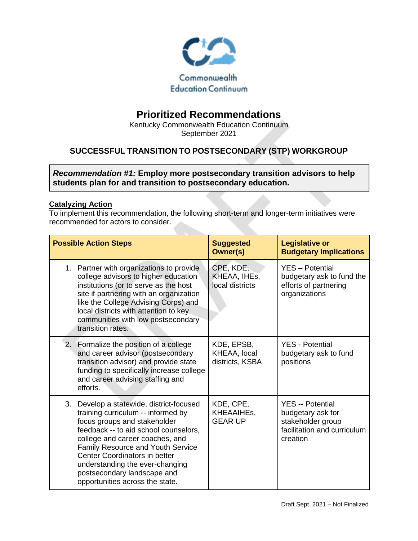

# **Prioritized Recommendations**

Kentucky Commonwealth Education Continuum September 2021

# **SUCCESSFUL TRANSITION TO POSTSECONDARY (STP) WORKGROUP**

*Recommendation #1:* **Employ more postsecondary transition advisors to help students plan for and transition to postsecondary education.** 

#### **Catalyzing Action**

| <b>Possible Action Steps</b>                                                                                                                                                                                                                      |                                                                                                                                                                                                                                                 | <b>Suggested</b><br>Owner(s)                  | <b>Legislative or</b><br><b>Budgetary Implications</b>                                                       |
|---------------------------------------------------------------------------------------------------------------------------------------------------------------------------------------------------------------------------------------------------|-------------------------------------------------------------------------------------------------------------------------------------------------------------------------------------------------------------------------------------------------|-----------------------------------------------|--------------------------------------------------------------------------------------------------------------|
| 1. Partner with organizations to provide<br>transition rates.                                                                                                                                                                                     | college advisors to higher education<br>institutions (or to serve as the host<br>site if partnering with an organization<br>like the College Advising Corps) and<br>local districts with attention to key<br>communities with low postsecondary | CPE, KDE,<br>KHEAA, IHEs,<br>local districts  | <b>YES</b> - Potential<br>budgetary ask to fund the<br>efforts of partnering<br>organizations                |
| 2. Formalize the position of a college<br>and career advising staffing and<br>efforts.                                                                                                                                                            | and career advisor (postsecondary<br>transition advisor) and provide state<br>funding to specifically increase college                                                                                                                          | KDE, EPSB,<br>KHEAA, local<br>districts, KSBA | <b>YES</b> - Potential<br>budgetary ask to fund<br>positions                                                 |
| 3.<br>training curriculum -- informed by<br>focus groups and stakeholder<br>college and career coaches, and<br>Center Coordinators in better<br>understanding the ever-changing<br>postsecondary landscape and<br>opportunities across the state. | Develop a statewide, district-focused<br>feedback -- to aid school counselors,<br>Family Resource and Youth Service                                                                                                                             | KDE, CPE,<br>KHEAAIHEs,<br><b>GEAR UP</b>     | <b>YES</b> -- Potential<br>budgetary ask for<br>stakeholder group<br>facilitation and curriculum<br>creation |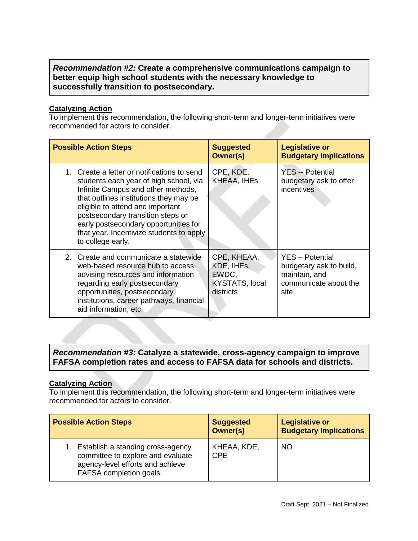## *Recommendation #2:* **Create a comprehensive communications campaign to better equip high school students with the necessary knowledge to successfully transition to postsecondary.**

#### **Catalyzing Action**

To implement this recommendation, the following short-term and longer-term initiatives were recommended for actors to consider.

| <b>Possible Action Steps</b>                                                                                                                                                                                                                                                                                                                             | <b>Suggested</b><br>Owner(s)                                             | <b>Legislative or</b><br><b>Budgetary Implications</b>                                              |
|----------------------------------------------------------------------------------------------------------------------------------------------------------------------------------------------------------------------------------------------------------------------------------------------------------------------------------------------------------|--------------------------------------------------------------------------|-----------------------------------------------------------------------------------------------------|
| 1. Create a letter or notifications to send<br>students each year of high school, via<br>Infinite Campus and other methods,<br>that outlines institutions they may be<br>eligible to attend and important<br>postsecondary transition steps or<br>early postsecondary opportunities for<br>that year. Incentivize students to apply<br>to college early. | CPE, KDE,<br>KHEAA, IHEs                                                 | <b>YES</b> -- Potential<br>budgetary ask to offer<br>incentives                                     |
| 2. Create and communicate a statewide<br>web-based resource hub to access<br>advising resources and information<br>regarding early postsecondary<br>opportunities, postsecondary<br>institutions, career pathways, financial<br>aid information, etc.                                                                                                    | CPE, KHEAA,<br>KDE, IHEs,<br>EWDC,<br><b>KYSTATS, local</b><br>districts | <b>YES</b> - Potential<br>budgetary ask to build,<br>maintain, and<br>communicate about the<br>site |

# *Recommendation #3:* **Catalyze a statewide, cross-agency campaign to improve FAFSA completion rates and access to FAFSA data for schools and districts.**

#### **Catalyzing Action**

| <b>Possible Action Steps</b>                                                                                                          | <b>Suggested</b><br>Owner(s) | <b>Legislative or</b><br><b>Budgetary Implications</b> |
|---------------------------------------------------------------------------------------------------------------------------------------|------------------------------|--------------------------------------------------------|
| Establish a standing cross-agency<br>committee to explore and evaluate<br>agency-level efforts and achieve<br>FAFSA completion goals. | KHEAA, KDE,<br><b>CPE</b>    | <b>NO</b>                                              |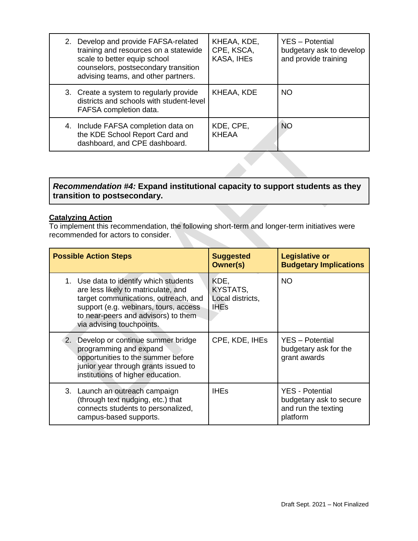| 2. Develop and provide FAFSA-related<br>training and resources on a statewide<br>scale to better equip school<br>counselors, postsecondary transition<br>advising teams, and other partners. | KHEAA, KDE,<br>CPE, KSCA,<br>KASA, IHEs | YES - Potential<br>budgetary ask to develop<br>and provide training |
|----------------------------------------------------------------------------------------------------------------------------------------------------------------------------------------------|-----------------------------------------|---------------------------------------------------------------------|
| 3. Create a system to regularly provide<br>districts and schools with student-level<br>FAFSA completion data.                                                                                | KHEAA, KDE                              | NO.                                                                 |
| 4. Include FAFSA completion data on<br>the KDE School Report Card and<br>dashboard, and CPE dashboard.                                                                                       | KDE, CPE,<br><b>KHEAA</b>               | NO                                                                  |

# *Recommendation #4:* **Expand institutional capacity to support students as they transition to postsecondary.**

#### **Catalyzing Action**

| <b>Possible Action Steps</b>                                                                                                                                                                                                       | <b>Suggested</b><br>Owner(s)                        | <b>Legislative or</b><br><b>Budgetary Implications</b>                               |
|------------------------------------------------------------------------------------------------------------------------------------------------------------------------------------------------------------------------------------|-----------------------------------------------------|--------------------------------------------------------------------------------------|
| 1. Use data to identify which students<br>are less likely to matriculate, and<br>target communications, outreach, and<br>support (e.g. webinars, tours, access<br>to near-peers and advisors) to them<br>via advising touchpoints. | KDE,<br>KYSTATS,<br>Local districts,<br><b>IHEs</b> | <b>NO</b>                                                                            |
| 2. Develop or continue summer bridge<br>programming and expand<br>opportunities to the summer before<br>junior year through grants issued to<br>institutions of higher education.                                                  | CPE, KDE, IHES                                      | YES - Potential<br>budgetary ask for the<br>grant awards                             |
| 3. Launch an outreach campaign<br>(through text nudging, etc.) that<br>connects students to personalized,<br>campus-based supports.                                                                                                | <b>IHEs</b>                                         | <b>YES</b> - Potential<br>budgetary ask to secure<br>and run the texting<br>platform |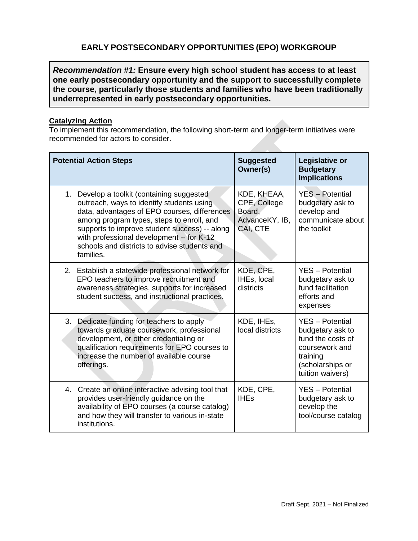# **EARLY POSTSECONDARY OPPORTUNITIES (EPO) WORKGROUP**

*Recommendation #1:* **Ensure every high school student has access to at least one early postsecondary opportunity and the support to successfully complete the course, particularly those students and families who have been traditionally underrepresented in early postsecondary opportunities.**

#### **Catalyzing Action**

| <b>Potential Action Steps</b>                                                                                                                                                                                                                                                                                                                      | <b>Suggested</b><br>Owner(s)                                        | Legislative or<br><b>Budgetary</b><br><b>Implications</b>                                                                             |
|----------------------------------------------------------------------------------------------------------------------------------------------------------------------------------------------------------------------------------------------------------------------------------------------------------------------------------------------------|---------------------------------------------------------------------|---------------------------------------------------------------------------------------------------------------------------------------|
| Develop a toolkit (containing suggested<br>1.<br>outreach, ways to identify students using<br>data, advantages of EPO courses, differences<br>among program types, steps to enroll, and<br>supports to improve student success) -- along<br>with professional development -- for K-12<br>schools and districts to advise students and<br>families. | KDE, KHEAA,<br>CPE, College<br>Board,<br>AdvanceKY, IB,<br>CAI, CTE | <b>YES</b> - Potential<br>budgetary ask to<br>develop and<br>communicate about<br>the toolkit                                         |
| 2. Establish a statewide professional network for<br>EPO teachers to improve recruitment and<br>awareness strategies, supports for increased<br>student success, and instructional practices.                                                                                                                                                      | KDE, CPE,<br>IHEs, local<br>districts                               | <b>YES</b> - Potential<br>budgetary ask to<br>fund facilitation<br>efforts and<br>expenses                                            |
| 3.<br>Dedicate funding for teachers to apply<br>towards graduate coursework, professional<br>development, or other credentialing or<br>qualification requirements for EPO courses to<br>increase the number of available course<br>offerings.                                                                                                      | KDE, IHES,<br>local districts                                       | <b>YES</b> - Potential<br>budgetary ask to<br>fund the costs of<br>coursework and<br>training<br>(scholarships or<br>tuition waivers) |
| 4. Create an online interactive advising tool that<br>provides user-friendly guidance on the<br>availability of EPO courses (a course catalog)<br>and how they will transfer to various in-state<br>institutions.                                                                                                                                  | KDE, CPE,<br><b>IHEs</b>                                            | <b>YES</b> - Potential<br>budgetary ask to<br>develop the<br>tool/course catalog                                                      |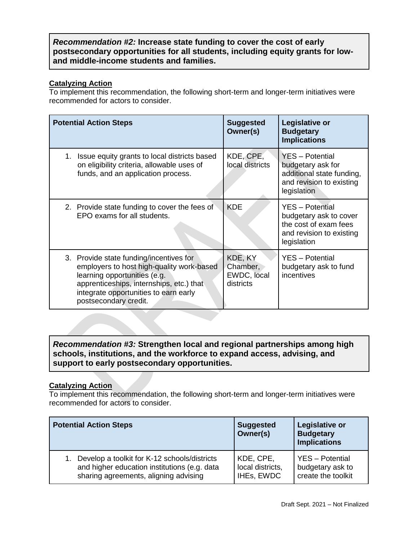## *Recommendation #2:* **Increase state funding to cover the cost of early postsecondary opportunities for all students, including equity grants for lowand middle-income students and families.**

## **Catalyzing Action**

To implement this recommendation, the following short-term and longer-term initiatives were recommended for actors to consider.

| <b>Potential Action Steps</b>                                                                                                                                                                                                      | <b>Suggested</b><br>Owner(s)                    | Legislative or<br><b>Budgetary</b><br><b>Implications</b>                                                            |
|------------------------------------------------------------------------------------------------------------------------------------------------------------------------------------------------------------------------------------|-------------------------------------------------|----------------------------------------------------------------------------------------------------------------------|
| 1. Issue equity grants to local districts based<br>on eligibility criteria, allowable uses of<br>funds, and an application process.                                                                                                | KDE, CPE,<br>local districts                    | YES - Potential<br>budgetary ask for<br>additional state funding,<br>and revision to existing<br>legislation         |
| 2. Provide state funding to cover the fees of<br>EPO exams for all students.                                                                                                                                                       | <b>KDE</b>                                      | <b>YES</b> - Potential<br>budgetary ask to cover<br>the cost of exam fees<br>and revision to existing<br>legislation |
| 3. Provide state funding/incentives for<br>employers to host high-quality work-based<br>learning opportunities (e.g.<br>apprenticeships, internships, etc.) that<br>integrate opportunities to earn early<br>postsecondary credit. | KDE, KY<br>Chamber,<br>EWDC, local<br>districts | <b>YES</b> - Potential<br>budgetary ask to fund<br>incentives                                                        |

## *Recommendation #3:* **Strengthen local and regional partnerships among high schools, institutions, and the workforce to expand access, advising, and support to early postsecondary opportunities.**

### **Catalyzing Action**

| <b>Potential Action Steps</b>                | <b>Suggested</b><br>Owner(s) | <b>Legislative or</b><br><b>Budgetary</b><br><b>Implications</b> |
|----------------------------------------------|------------------------------|------------------------------------------------------------------|
| Develop a toolkit for K-12 schools/districts | KDE, CPE,                    | YES - Potential                                                  |
| and higher education institutions (e.g. data | local districts,             | budgetary ask to                                                 |
| sharing agreements, aligning advising        | IHEs, EWDC                   | create the toolkit                                               |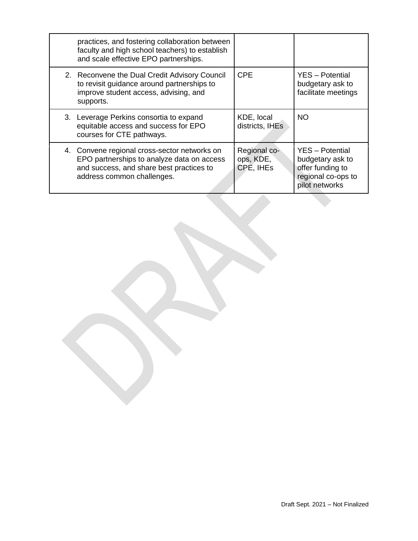| practices, and fostering collaboration between<br>faculty and high school teachers) to establish<br>and scale effective EPO partnerships.                            |                                        |                                                                                                        |
|----------------------------------------------------------------------------------------------------------------------------------------------------------------------|----------------------------------------|--------------------------------------------------------------------------------------------------------|
| 2. Reconvene the Dual Credit Advisory Council<br>to revisit guidance around partnerships to<br>improve student access, advising, and<br>supports.                    | <b>CPE</b>                             | YES - Potential<br>budgetary ask to<br>facilitate meetings                                             |
| 3. Leverage Perkins consortia to expand<br>equitable access and success for EPO<br>courses for CTE pathways.                                                         | KDE, local<br>districts, IHEs          | <b>NO</b>                                                                                              |
| 4. Convene regional cross-sector networks on<br>EPO partnerships to analyze data on access<br>and success, and share best practices to<br>address common challenges. | Regional co-<br>ops, KDE,<br>CPE, IHES | <b>YES</b> - Potential<br>budgetary ask to<br>offer funding to<br>regional co-ops to<br>pilot networks |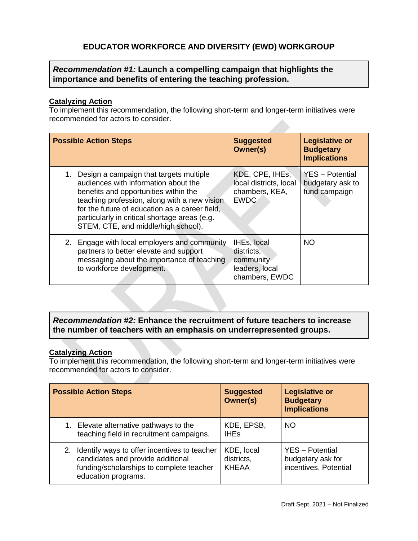# **EDUCATOR WORKFORCE AND DIVERSITY (EWD) WORKGROUP**

# *Recommendation #1:* **Launch a compelling campaign that highlights the importance and benefits of entering the teaching profession.**

#### **Catalyzing Action**

To implement this recommendation, the following short-term and longer-term initiatives were recommended for actors to consider.

| <b>Possible Action Steps</b>                                                                                                                                                                                                                                                                                             | <b>Suggested</b><br><b>Owner(s)</b>                                        | <b>Legislative or</b><br><b>Budgetary</b><br><b>Implications</b> |
|--------------------------------------------------------------------------------------------------------------------------------------------------------------------------------------------------------------------------------------------------------------------------------------------------------------------------|----------------------------------------------------------------------------|------------------------------------------------------------------|
| Design a campaign that targets multiple<br>1.<br>audiences with information about the<br>benefits and opportunities within the<br>teaching profession, along with a new vision<br>for the future of education as a career field,<br>particularly in critical shortage areas (e.g.<br>STEM, CTE, and middle/high school). | KDE, CPE, IHES,<br>local districts, local<br>chambers, KEA,<br><b>EWDC</b> | <b>YES</b> - Potential<br>budgetary ask to<br>fund campaign      |
| Engage with local employers and community<br>2.<br>partners to better elevate and support<br>messaging about the importance of teaching<br>to workforce development.                                                                                                                                                     | IHEs, local<br>districts,<br>community<br>leaders, local<br>chambers, EWDC | <b>NO</b>                                                        |

## *Recommendation #2:* **Enhance the recruitment of future teachers to increase the number of teachers with an emphasis on underrepresented groups.**

#### **Catalyzing Action**

| <b>Possible Action Steps</b>                                                                                                                            | <b>Suggested</b><br>Owner(s)             | <b>Legislative or</b><br><b>Budgetary</b><br><b>Implications</b>     |
|---------------------------------------------------------------------------------------------------------------------------------------------------------|------------------------------------------|----------------------------------------------------------------------|
| 1. Elevate alternative pathways to the<br>teaching field in recruitment campaigns.                                                                      | KDE, EPSB,<br><b>IHEs</b>                | <b>NO</b>                                                            |
| 2. Identify ways to offer incentives to teacher<br>candidates and provide additional<br>funding/scholarships to complete teacher<br>education programs. | KDE, local<br>districts,<br><b>KHEAA</b> | <b>YES</b> - Potential<br>budgetary ask for<br>incentives. Potential |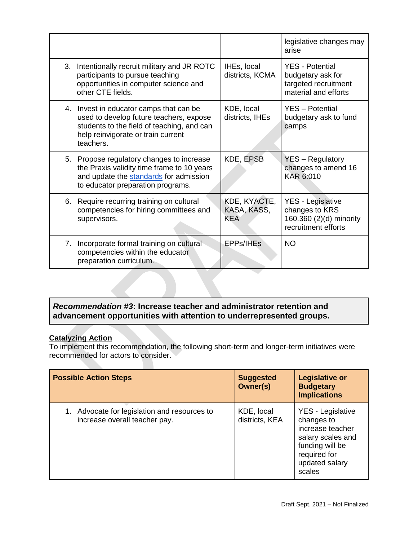|    |                                                                                                                                                                                     |                                           | legislative changes may<br>arise                                                             |
|----|-------------------------------------------------------------------------------------------------------------------------------------------------------------------------------------|-------------------------------------------|----------------------------------------------------------------------------------------------|
| 3. | Intentionally recruit military and JR ROTC<br>participants to pursue teaching<br>opportunities in computer science and<br>other CTE fields.                                         | IHEs, local<br>districts, KCMA            | <b>YES - Potential</b><br>budgetary ask for<br>targeted recruitment<br>material and efforts  |
|    | 4. Invest in educator camps that can be<br>used to develop future teachers, expose<br>students to the field of teaching, and can<br>help reinvigorate or train current<br>teachers. | KDE, local<br>districts, IHEs             | <b>YES</b> - Potential<br>budgetary ask to fund<br>camps                                     |
|    | 5. Propose regulatory changes to increase<br>the Praxis validity time frame to 10 years<br>and update the standards for admission<br>to educator preparation programs.              | KDE, EPSB                                 | YES - Regulatory<br>changes to amend 16<br>KAR 6:010                                         |
|    | 6. Require recurring training on cultural<br>competencies for hiring committees and<br>supervisors.                                                                                 | KDE, KYACTE,<br>KASA, KASS,<br><b>KEA</b> | <b>YES - Legislative</b><br>changes to KRS<br>160.360 (2)(d) minority<br>recruitment efforts |
| 7. | Incorporate formal training on cultural<br>competencies within the educator<br>preparation curriculum.                                                                              | <b>EPPs/IHEs</b>                          | <b>NO</b>                                                                                    |

# *Recommendation #3***: Increase teacher and administrator retention and advancement opportunities with attention to underrepresented groups.**

## **Catalyzing Action**

| <b>Possible Action Steps</b>                                                  | <b>Suggested</b><br><b>Owner(s)</b> | <b>Legislative or</b><br><b>Budgetary</b><br><b>Implications</b>                                                                        |
|-------------------------------------------------------------------------------|-------------------------------------|-----------------------------------------------------------------------------------------------------------------------------------------|
| 1. Advocate for legislation and resources to<br>increase overall teacher pay. | KDE, local<br>districts, KEA        | YES - Legislative<br>changes to<br>increase teacher<br>salary scales and<br>funding will be<br>required for<br>updated salary<br>scales |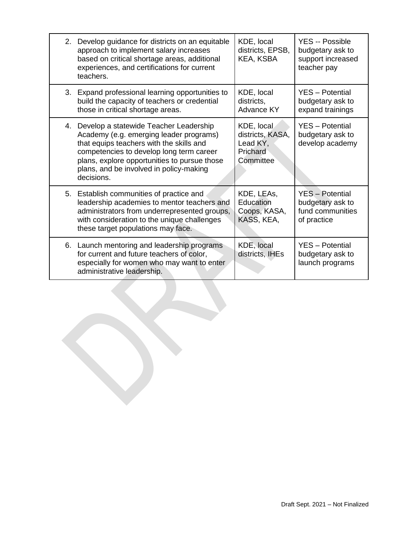|    | 2. Develop guidance for districts on an equitable<br>approach to implement salary increases<br>based on critical shortage areas, additional<br>experiences, and certifications for current<br>teachers.                                                                            | KDE, local<br>districts, EPSB,<br>KEA, KSBA                         | <b>YES -- Possible</b><br>budgetary ask to<br>support increased<br>teacher pay |
|----|------------------------------------------------------------------------------------------------------------------------------------------------------------------------------------------------------------------------------------------------------------------------------------|---------------------------------------------------------------------|--------------------------------------------------------------------------------|
|    | 3. Expand professional learning opportunities to<br>build the capacity of teachers or credential<br>those in critical shortage areas.                                                                                                                                              | KDE, local<br>districts,<br><b>Advance KY</b>                       | <b>YES</b> - Potential<br>budgetary ask to<br>expand trainings                 |
| 4. | Develop a statewide Teacher Leadership<br>Academy (e.g. emerging leader programs)<br>that equips teachers with the skills and<br>competencies to develop long term career<br>plans, explore opportunities to pursue those<br>plans, and be involved in policy-making<br>decisions. | KDE, local<br>districts, KASA,<br>Lead KY,<br>Prichard<br>Committee | YES - Potential<br>budgetary ask to<br>develop academy                         |
|    | 5. Establish communities of practice and<br>leadership academies to mentor teachers and<br>administrators from underrepresented groups,<br>with consideration to the unique challenges<br>these target populations may face.                                                       | KDE, LEAS,<br>Education<br>Coops, KASA,<br>KASS, KEA,               | <b>YES</b> - Potential<br>budgetary ask to<br>fund communities<br>of practice  |
|    | 6. Launch mentoring and leadership programs<br>for current and future teachers of color,<br>especially for women who may want to enter<br>administrative leadership.                                                                                                               | KDE, local<br>districts, IHEs                                       | <b>YES</b> - Potential<br>budgetary ask to<br>launch programs                  |